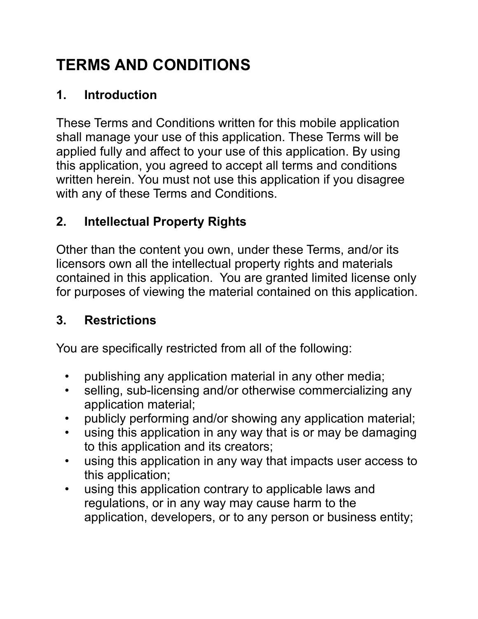# **TERMS AND CONDITIONS**

# **1. Introduction**

These Terms and Conditions written for this mobile application shall manage your use of this application. These Terms will be applied fully and affect to your use of this application. By using this application, you agreed to accept all terms and conditions written herein. You must not use this application if you disagree with any of these Terms and Conditions.

# **2. Intellectual Property Rights**

Other than the content you own, under these Terms, and/or its licensors own all the intellectual property rights and materials contained in this application. You are granted limited license only for purposes of viewing the material contained on this application.

# **3. Restrictions**

You are specifically restricted from all of the following:

- publishing any application material in any other media;
- selling, sub-licensing and/or otherwise commercializing any application material;
- publicly performing and/or showing any application material;
- using this application in any way that is or may be damaging to this application and its creators;
- using this application in any way that impacts user access to this application;
- using this application contrary to applicable laws and regulations, or in any way may cause harm to the application, developers, or to any person or business entity;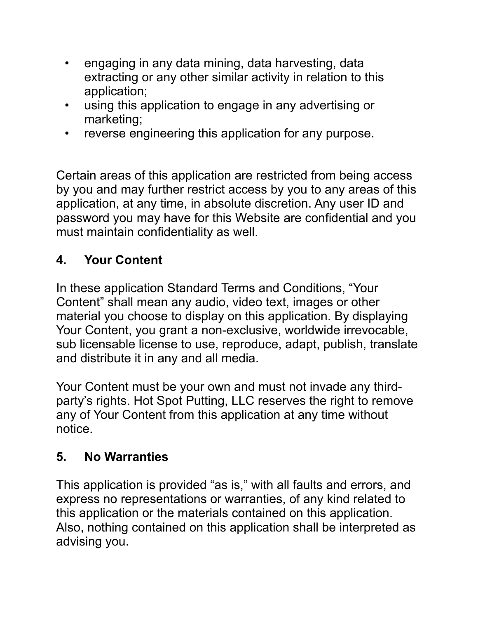- engaging in any data mining, data harvesting, data extracting or any other similar activity in relation to this application;
- using this application to engage in any advertising or marketing;
- reverse engineering this application for any purpose.

Certain areas of this application are restricted from being access by you and may further restrict access by you to any areas of this application, at any time, in absolute discretion. Any user ID and password you may have for this Website are confidential and you must maintain confidentiality as well.

#### **4. Your Content**

In these application Standard Terms and Conditions, "Your Content" shall mean any audio, video text, images or other material you choose to display on this application. By displaying Your Content, you grant a non-exclusive, worldwide irrevocable, sub licensable license to use, reproduce, adapt, publish, translate and distribute it in any and all media.

Your Content must be your own and must not invade any thirdparty's rights. Hot Spot Putting, LLC reserves the right to remove any of Your Content from this application at any time without notice.

#### **5. No Warranties**

This application is provided "as is," with all faults and errors, and express no representations or warranties, of any kind related to this application or the materials contained on this application. Also, nothing contained on this application shall be interpreted as advising you.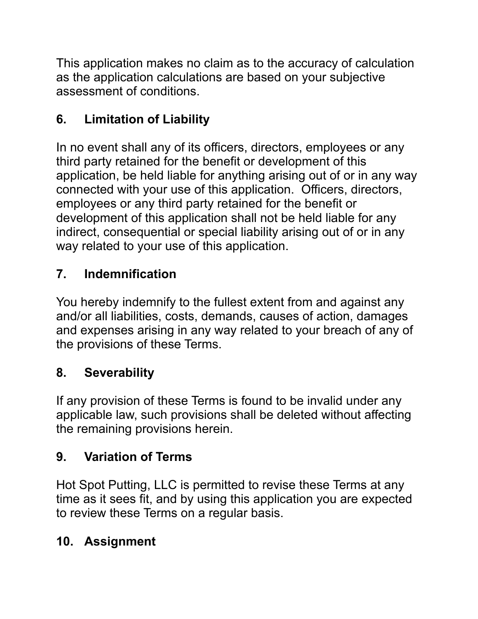This application makes no claim as to the accuracy of calculation as the application calculations are based on your subjective assessment of conditions.

# **6. Limitation of Liability**

In no event shall any of its officers, directors, employees or any third party retained for the benefit or development of this application, be held liable for anything arising out of or in any way connected with your use of this application. Officers, directors, employees or any third party retained for the benefit or development of this application shall not be held liable for any indirect, consequential or special liability arising out of or in any way related to your use of this application.

#### **7. Indemnification**

You hereby indemnify to the fullest extent from and against any and/or all liabilities, costs, demands, causes of action, damages and expenses arising in any way related to your breach of any of the provisions of these Terms.

#### **8. Severability**

If any provision of these Terms is found to be invalid under any applicable law, such provisions shall be deleted without affecting the remaining provisions herein.

# **9. Variation of Terms**

Hot Spot Putting, LLC is permitted to revise these Terms at any time as it sees fit, and by using this application you are expected to review these Terms on a regular basis.

# **10. Assignment**